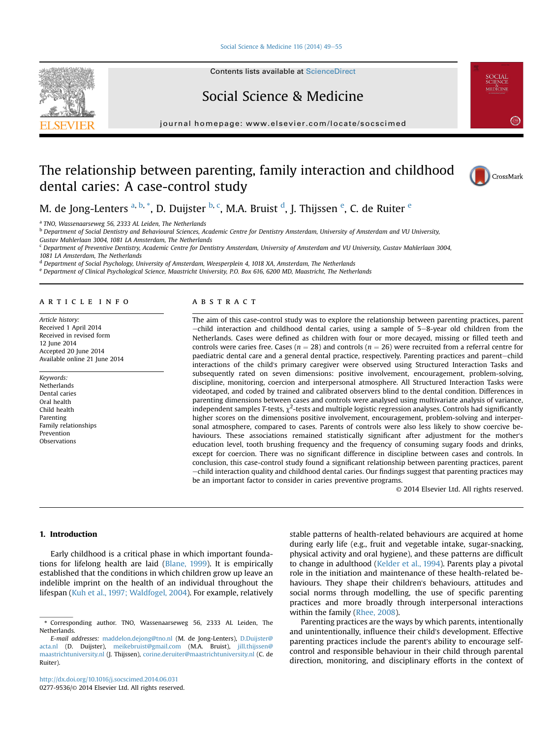#### [Social Science & Medicine 116 \(2014\) 49](http://dx.doi.org/10.1016/j.socscimed.2014.06.031)-[55](http://dx.doi.org/10.1016/j.socscimed.2014.06.031)

Contents lists available at [ScienceDirect](www.sciencedirect.com/science/journal/02779536)

# Social Science & Medicine

journal homepage: [www.elsevier.com/locate/socscimed](http://www.elsevier.com/locate/socscimed)

# The relationship between parenting, family interaction and childhood dental caries: A case-control study



M. de Jong-Lenters <sup>a, b, \*</sup>, D. Duijster <sup>b, c</sup>, M.A. Bruist <sup>d</sup>, J. Thijssen <sup>e</sup>, C. de Ruiter <sup>e</sup>

<sup>a</sup> TNO, Wassenaarseweg 56, 2333 AL Leiden, The Netherlands

<sup>b</sup> Department of Social Dentistry and Behavioural Sciences, Academic Centre for Dentistry Amsterdam, University of Amsterdam and VU University,

Gustav Mahlerlaan 3004, 1081 LA Amsterdam, The Netherlands

<sup>c</sup> Department of Preventive Dentistry, Academic Centre for Dentistry Amsterdam, University of Amsterdam and VU University, Gustav Mahlerlaan 3004, 1081 LA Amsterdam, The Netherlands

<sup>d</sup> Department of Social Psychology, University of Amsterdam, Weesperplein 4, 1018 XA, Amsterdam, The Netherlands <sup>e</sup> Department of Clinical Psychological Science, Maastricht University, P.O. Box 616, 6200 MD, Maastricht, The Netherlands

#### article info

Article history: Received 1 April 2014 Received in revised form 12 June 2014 Accepted 20 June 2014 Available online 21 June 2014

Keywords: Netherlands Dental caries Oral health Child health Parenting Family relationships Prevention **Observations** 

# ABSTRACT

The aim of this case-control study was to explore the relationship between parenting practices, parent  $-$ child interaction and childhood dental caries, using a sample of  $5-8$ -year old children from the Netherlands. Cases were defined as children with four or more decayed, missing or filled teeth and controls were caries free. Cases ( $n = 28$ ) and controls ( $n = 26$ ) were recruited from a referral centre for paediatric dental care and a general dental practice, respectively. Parenting practices and parent-child interactions of the child's primary caregiver were observed using Structured Interaction Tasks and subsequently rated on seven dimensions: positive involvement, encouragement, problem-solving, discipline, monitoring, coercion and interpersonal atmosphere. All Structured Interaction Tasks were videotaped, and coded by trained and calibrated observers blind to the dental condition. Differences in parenting dimensions between cases and controls were analysed using multivariate analysis of variance, independent samples T-tests,  $\chi^2$ -tests and multiple logistic regression analyses. Controls had significantly higher scores on the dimensions positive involvement, encouragement, problem-solving and interpersonal atmosphere, compared to cases. Parents of controls were also less likely to show coercive behaviours. These associations remained statistically significant after adjustment for the mother's education level, tooth brushing frequency and the frequency of consuming sugary foods and drinks, except for coercion. There was no significant difference in discipline between cases and controls. In conclusion, this case-control study found a significant relationship between parenting practices, parent -child interaction quality and childhood dental caries. Our findings suggest that parenting practices may be an important factor to consider in caries preventive programs.

© 2014 Elsevier Ltd. All rights reserved.

# 1. Introduction

Early childhood is a critical phase in which important foundations for lifelong health are laid ([Blane, 1999](#page-5-0)). It is empirically established that the conditions in which children grow up leave an indelible imprint on the health of an individual throughout the lifespan [\(Kuh et al., 1997; Waldfogel, 2004](#page-6-0)). For example, relatively stable patterns of health-related behaviours are acquired at home during early life (e.g., fruit and vegetable intake, sugar-snacking, physical activity and oral hygiene), and these patterns are difficult to change in adulthood [\(Kelder et al., 1994](#page-5-0)). Parents play a pivotal role in the initiation and maintenance of these health-related behaviours. They shape their children's behaviours, attitudes and social norms through modelling, the use of specific parenting practices and more broadly through interpersonal interactions within the family ([Rhee, 2008](#page-6-0)).

Parenting practices are the ways by which parents, intentionally and unintentionally, influence their child's development. Effective parenting practices include the parent's ability to encourage selfcontrol and responsible behaviour in their child through parental direction, monitoring, and disciplinary efforts in the context of



<sup>\*</sup> Corresponding author. TNO, Wassenaarseweg 56, 2333 AL Leiden, The Netherlands.

E-mail addresses: [maddelon.dejong@tno.nl](mailto:maddelon.dejong@tno.nl) (M. de Jong-Lenters), [D.Duijster@](mailto:D.Duijster@acta.nl) [acta.nl](mailto:D.Duijster@acta.nl) (D. Duijster), [meikebruist@gmail.com](mailto:meikebruist@gmail.com) (M.A. Bruist), [jill.thijssen@](mailto:jill.thijssen@maastrichtuniversity.nl) [maastrichtuniversity.nl](mailto:jill.thijssen@maastrichtuniversity.nl) (J. Thijssen), [corine.deruiter@maastrichtuniversity.nl](mailto:corine.deruiter@maastrichtuniversity.nl) (C. de Ruiter).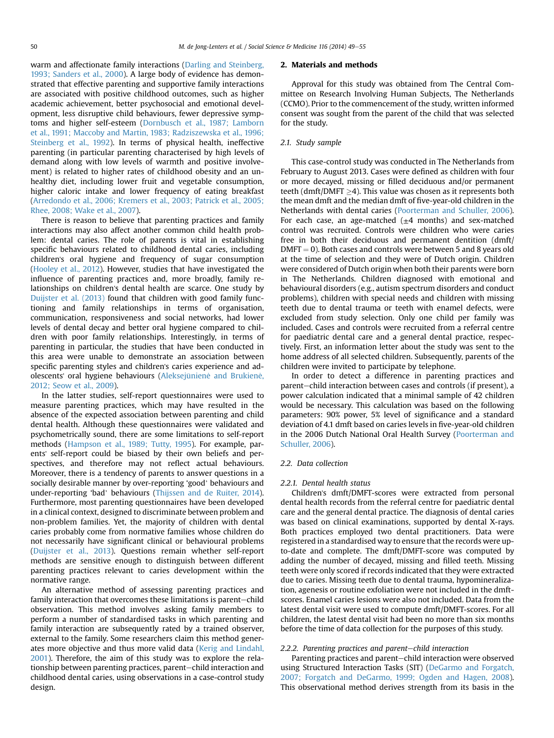warm and affectionate family interactions ([Darling and Steinberg,](#page-5-0) [1993; Sanders et al., 2000](#page-5-0)). A large body of evidence has demonstrated that effective parenting and supportive family interactions are associated with positive childhood outcomes, such as higher academic achievement, better psychosocial and emotional development, less disruptive child behaviours, fewer depressive symptoms and higher self-esteem ([Dornbusch et al., 1987; Lamborn](#page-5-0) [et al., 1991; Maccoby and Martin, 1983; Radziszewska et al., 1996;](#page-5-0) [Steinberg et al., 1992](#page-5-0)). In terms of physical health, ineffective parenting (in particular parenting characterised by high levels of demand along with low levels of warmth and positive involvement) is related to higher rates of childhood obesity and an unhealthy diet, including lower fruit and vegetable consumption, higher caloric intake and lower frequency of eating breakfast ([Arredondo et al., 2006; Kremers et al., 2003; Patrick et al., 2005;](#page-5-0) [Rhee, 2008; Wake et al., 2007](#page-5-0)).

There is reason to believe that parenting practices and family interactions may also affect another common child health problem: dental caries. The role of parents is vital in establishing specific behaviours related to childhood dental caries, including children's oral hygiene and frequency of sugar consumption ([Hooley et al., 2012](#page-5-0)). However, studies that have investigated the influence of parenting practices and, more broadly, family relationships on children's dental health are scarce. One study by [Duijster et al. \(2013\)](#page-5-0) found that children with good family functioning and family relationships in terms of organisation, communication, responsiveness and social networks, had lower levels of dental decay and better oral hygiene compared to children with poor family relationships. Interestingly, in terms of parenting in particular, the studies that have been conducted in this area were unable to demonstrate an association between specific parenting styles and children's caries experience and ad-olescents' oral hygiene behaviours (Aleksejūnienė and Brukienė[,](#page-5-0) [2012; Seow et al., 2009](#page-5-0)).

In the latter studies, self-report questionnaires were used to measure parenting practices, which may have resulted in the absence of the expected association between parenting and child dental health. Although these questionnaires were validated and psychometrically sound, there are some limitations to self-report methods ([Hampson et al., 1989; Tutty, 1995\)](#page-5-0). For example, parents' self-report could be biased by their own beliefs and perspectives, and therefore may not reflect actual behaviours. Moreover, there is a tendency of parents to answer questions in a spectives, and therefore may not reneer actual behaviours.<br>Moreover, there is a tendency of parents to answer questions in a<br>socially desirable manner by over-reporting 'good' behaviours and under-reporting 'bad' behaviours ([Thijssen and de Ruiter, 2014\)](#page-6-0). Furthermore, most parenting questionnaires have been developed in a clinical context, designed to discriminate between problem and non-problem families. Yet, the majority of children with dental caries probably come from normative families whose children do not necessarily have significant clinical or behavioural problems ([Duijster et al., 2013](#page-5-0)). Questions remain whether self-report methods are sensitive enough to distinguish between different parenting practices relevant to caries development within the normative range.

An alternative method of assessing parenting practices and family interaction that overcomes these limitations is parent-child observation. This method involves asking family members to perform a number of standardised tasks in which parenting and family interaction are subsequently rated by a trained observer, external to the family. Some researchers claim this method generates more objective and thus more valid data [\(Kerig and Lindahl,](#page-5-0) [2001\)](#page-5-0). Therefore, the aim of this study was to explore the relationship between parenting practices, parent-child interaction and childhood dental caries, using observations in a case-control study design.

# 2. Materials and methods

Approval for this study was obtained from The Central Committee on Research Involving Human Subjects, The Netherlands (CCMO). Prior to the commencement of the study, written informed consent was sought from the parent of the child that was selected for the study.

# 2.1. Study sample

This case-control study was conducted in The Netherlands from February to August 2013. Cases were defined as children with four or more decayed, missing or filled deciduous and/or permanent teeth (dmft/DMFT  $\geq$ 4). This value was chosen as it represents both the mean dmft and the median dmft of five-year-old children in the Netherlands with dental caries ([Poorterman and Schuller, 2006\)](#page-6-0). For each case, an age-matched  $(\pm 4 \text{ months})$  and sex-matched control was recruited. Controls were children who were caries free in both their deciduous and permanent dentition (dmft/  $DMFT = 0$ ). Both cases and controls were between 5 and 8 years old at the time of selection and they were of Dutch origin. Children were considered of Dutch origin when both their parents were born in The Netherlands. Children diagnosed with emotional and behavioural disorders (e.g., autism spectrum disorders and conduct problems), children with special needs and children with missing teeth due to dental trauma or teeth with enamel defects, were excluded from study selection. Only one child per family was included. Cases and controls were recruited from a referral centre for paediatric dental care and a general dental practice, respectively. First, an information letter about the study was sent to the home address of all selected children. Subsequently, parents of the children were invited to participate by telephone.

In order to detect a difference in parenting practices and parent-child interaction between cases and controls (if present), a power calculation indicated that a minimal sample of 42 children would be necessary. This calculation was based on the following parameters: 90% power, 5% level of significance and a standard deviation of 4.1 dmft based on caries levels in five-year-old children in the 2006 Dutch National Oral Health Survey ([Poorterman and](#page-6-0) [Schuller, 2006\)](#page-6-0).

#### 2.2. Data collection

# 2.2.1. Dental health status

Children's dmft/DMFT-scores were extracted from personal dental health records from the referral centre for paediatric dental care and the general dental practice. The diagnosis of dental caries was based on clinical examinations, supported by dental X-rays. Both practices employed two dental practitioners. Data were registered in a standardised way to ensure that the records were upto-date and complete. The dmft/DMFT-score was computed by adding the number of decayed, missing and filled teeth. Missing teeth were only scored if records indicated that they were extracted due to caries. Missing teeth due to dental trauma, hypomineralization, agenesis or routine exfoliation were not included in the dmftscores. Enamel caries lesions were also not included. Data from the latest dental visit were used to compute dmft/DMFT-scores. For all children, the latest dental visit had been no more than six months before the time of data collection for the purposes of this study.

#### 2.2.2. Parenting practices and parent-child interaction

Parenting practices and parent-child interaction were observed using Structured Interaction Tasks (SIT) [\(DeGarmo and Forgatch,](#page-5-0) [2007; Forgatch and DeGarmo, 1999; Ogden and Hagen, 2008\)](#page-5-0). This observational method derives strength from its basis in the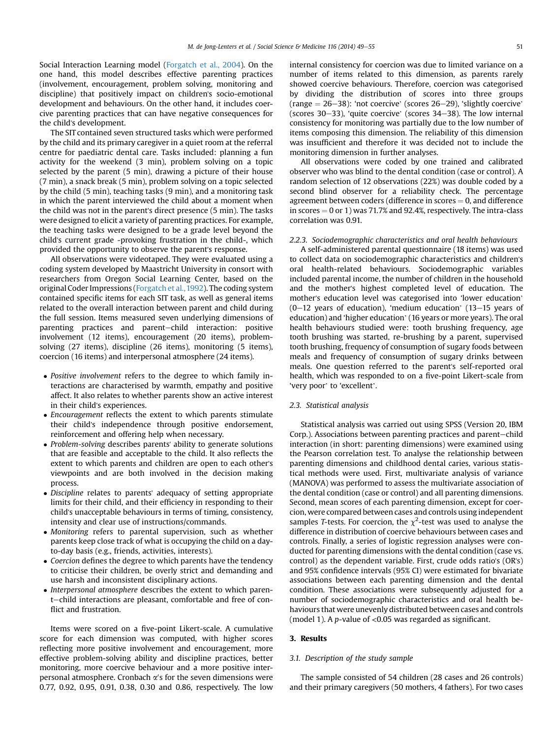Social Interaction Learning model ([Forgatch et al., 2004\)](#page-5-0). On the one hand, this model describes effective parenting practices (involvement, encouragement, problem solving, monitoring and discipline) that positively impact on children's socio-emotional development and behaviours. On the other hand, it includes coercive parenting practices that can have negative consequences for the child's development.

The SIT contained seven structured tasks which were performed by the child and its primary caregiver in a quiet room at the referral centre for paediatric dental care. Tasks included: planning a fun activity for the weekend (3 min), problem solving on a topic selected by the parent (5 min), drawing a picture of their house (7 min), a snack break (5 min), problem solving on a topic selected by the child (5 min), teaching tasks (9 min), and a monitoring task in which the parent interviewed the child about a moment when the child was not in the parent's direct presence (5 min). The tasks were designed to elicit a variety of parenting practices. For example, the teaching tasks were designed to be a grade level beyond the child's current grade -provoking frustration in the child-, which provided the opportunity to observe the parent's response.

All observations were videotaped. They were evaluated using a coding system developed by Maastricht University in consort with researchers from Oregon Social Learning Center, based on the original Coder Impressions [\(Forgatch et al.,1992\)](#page-5-0). The coding system contained specific items for each SIT task, as well as general items related to the overall interaction between parent and child during the full session. Items measured seven underlying dimensions of parenting practices and parent-child interaction: positive involvement (12 items), encouragement (20 items), problemsolving (27 items), discipline (26 items), monitoring (5 items), coercion (16 items) and interpersonal atmosphere (24 items).

- Positive involvement refers to the degree to which family interactions are characterised by warmth, empathy and positive affect. It also relates to whether parents show an active interest in their child's experiences.
- Encouragement reflects the extent to which parents stimulate their child's independence through positive endorsement, reinforcement and offering help when necessary.
- Problem-solving describes parents' ability to generate solutions that are feasible and acceptable to the child. It also reflects the extent to which parents and children are open to each other's viewpoints and are both involved in the decision making process.
- Discipline relates to parents' adequacy of setting appropriate limits for their child, and their efficiency in responding to their child's unacceptable behaviours in terms of timing, consistency, intensity and clear use of instructions/commands.
- Monitoring refers to parental supervision, such as whether parents keep close track of what is occupying the child on a dayto-day basis (e.g., friends, activities, interests).
- Coercion defines the degree to which parents have the tendency to criticise their children, be overly strict and demanding and use harsh and inconsistent disciplinary actions.
- Interpersonal atmosphere describes the extent to which parent-child interactions are pleasant, comfortable and free of conflict and frustration.

Items were scored on a five-point Likert-scale. A cumulative score for each dimension was computed, with higher scores reflecting more positive involvement and encouragement, more effective problem-solving ability and discipline practices, better monitoring, more coercive behaviour and a more positive interpersonal atmosphere. Cronbach  $\alpha'$ s for the seven dimensions were 0.77, 0.92, 0.95, 0.91, 0.38, 0.30 and 0.86, respectively. The low internal consistency for coercion was due to limited variance on a number of items related to this dimension, as parents rarely showed coercive behaviours. Therefore, coercion was categorised by dividing the distribution of scores into three groups by dividing the distribution of scores into three groups<br>(range = 26–38): 'not coercive' (scores 26–29), 'slightly coercive'<br>(scores 30–33), 'quite coercive' (scores 34–38). The low internal consistency for monitoring was partially due to the low number of items composing this dimension. The reliability of this dimension was insufficient and therefore it was decided not to include the monitoring dimension in further analyses.

All observations were coded by one trained and calibrated observer who was blind to the dental condition (case or control). A random selection of 12 observations (22%) was double coded by a second blind observer for a reliability check. The percentage agreement between coders (difference in scores  $= 0$ , and difference in scores  $= 0$  or 1) was 71.7% and 92.4%, respectively. The intra-class correlation was 0.91.

# 2.2.3. Sociodemographic characteristics and oral health behaviours

A self-administered parental questionnaire (18 items) was used to collect data on sociodemographic characteristics and children's oral health-related behaviours. Sociodemographic variables included parental income, the number of children in the household and the mother's highest completed level of education. The mother's education level was categorised into 'lower education' mother's education level was categorised into 'lower education' (0–12 years of education), 'medium education' (13–15 years of education is calculation (0–12 years of education), 'medium education' (13–15 years of education), 'medium education' (13–15 years of education) health behaviours studied were: tooth brushing frequency, age tooth brushing was started, re-brushing by a parent, supervised tooth brushing, frequency of consumption of sugary foods between meals and frequency of consumption of sugary drinks between meals. One question referred to the parent's self-reported oral health, which was responded to on a five-point Likert-scale from 'very poor' to 'excellent'.

#### 2.3. Statistical analysis

Statistical analysis was carried out using SPSS (Version 20, IBM Corp.). Associations between parenting practices and parent-child interaction (in short: parenting dimensions) were examined using the Pearson correlation test. To analyse the relationship between parenting dimensions and childhood dental caries, various statistical methods were used. First, multivariate analysis of variance (MANOVA) was performed to assess the multivariate association of the dental condition (case or control) and all parenting dimensions. Second, mean scores of each parenting dimension, except for coercion, were compared between cases and controls using independent samples *T*-tests. For coercion, the  $\chi^2$ -test was used to analyse the difference in distribution of coercive behaviours between cases and controls. Finally, a series of logistic regression analyses were conducted for parenting dimensions with the dental condition (case vs. control) as the dependent variable. First, crude odds ratio's (OR's) and 95% confidence intervals (95% CI) were estimated for bivariate associations between each parenting dimension and the dental condition. These associations were subsequently adjusted for a number of sociodemographic characteristics and oral health behaviours that were unevenly distributed between cases and controls (model 1). A *p*-value of  $<$ 0.05 was regarded as significant.

#### 3. Results

#### 3.1. Description of the study sample

The sample consisted of 54 children (28 cases and 26 controls) and their primary caregivers (50 mothers, 4 fathers). For two cases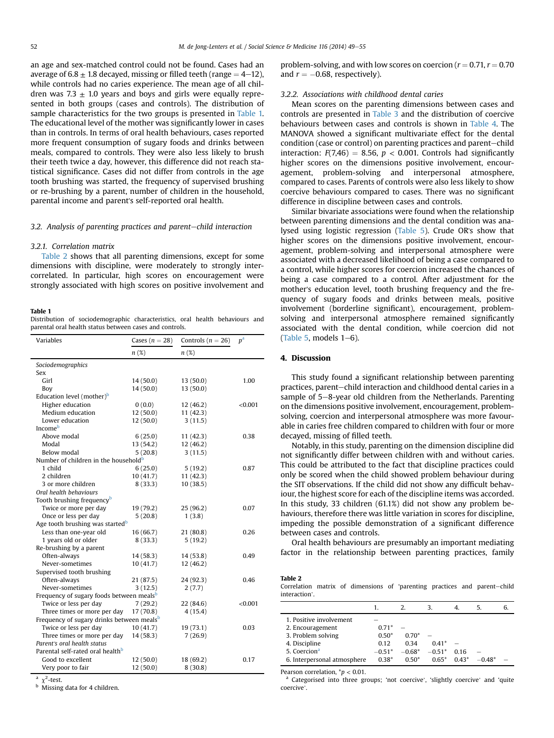an age and sex-matched control could not be found. Cases had an average of  $6.8 \pm 1.8$  decayed, missing or filled teeth (range  $= 4-12$ ), while controls had no caries experience. The mean age of all children was 7.3  $\pm$  1.0 years and boys and girls were equally represented in both groups (cases and controls). The distribution of sample characteristics for the two groups is presented in Table 1. The educational level of the mother was significantly lower in cases than in controls. In terms of oral health behaviours, cases reported more frequent consumption of sugary foods and drinks between meals, compared to controls. They were also less likely to brush their teeth twice a day, however, this difference did not reach statistical significance. Cases did not differ from controls in the age tooth brushing was started, the frequency of supervised brushing or re-brushing by a parent, number of children in the household, parental income and parent's self-reported oral health.

### 3.2. Analysis of parenting practices and parent-child interaction

### 3.2.1. Correlation matrix

Table 2 shows that all parenting dimensions, except for some dimensions with discipline, were moderately to strongly intercorrelated. In particular, high scores on encouragement were strongly associated with high scores on positive involvement and

#### Table 1

Distribution of sociodemographic characteristics, oral health behaviours and parental oral health status between cases and controls.

| n(%)<br>$n(\%)$<br>Sociodemographics<br>Sex<br>Girl<br>14(50.0)<br>13(50.0)<br>1.00<br>13(50.0)<br>14(50.0)<br>Boy<br>Education level (mother) <sup>b</sup><br>Higher education<br>12 (46.2)<br>< 0.001<br>0(0.0)<br>Medium education<br>12(50.0)<br>11(42.3)<br>Lower education<br>12(50.0)<br>3(11.5)<br>Income <sup>b</sup><br>Above modal<br>0.38<br>6(25.0)<br>11 (42.3)<br>Modal<br>13 (54.2)<br>12 (46.2)<br>Below modal<br>5(20.8)<br>3(11.5)<br>Number of children in the household <sup>b</sup><br>1 child<br>6(25.0)<br>5(19.2)<br>0.87<br>2 children<br>10(41.7)<br>11 (42.3)<br>3 or more children<br>8(33.3)<br>10(38.5)<br>Oral health behaviours<br>Tooth brushing frequency <sup>b</sup><br>Twice or more per day<br>0.07<br>19 (79.2)<br>25 (96.2)<br>Once or less per day<br>5(20.8)<br>1(3.8)<br>Age tooth brushing was started <sup>b</sup><br>Less than one-year old<br>0.26<br>16 (66.7)<br>21 (80.8)<br>1 years old or older<br>8(33.3)<br>5(19.2)<br>Re-brushing by a parent<br>Often-always<br>14 (58.3)<br>14 (53.8)<br>0.49<br>Never-sometimes<br>10(41.7)<br>12 (46.2)<br>Supervised tooth brushing<br>Often-always<br>21 (87.5)<br>0.46<br>24 (92.3)<br>Never-sometimes<br>3(12.5)<br>2(7.7)<br>Frequency of sugary foods between meals <sup>b</sup><br>Twice or less per day<br>7(29.2)<br>< 0.001<br>22 (84.6)<br>Three times or more per day<br>17 (70.8)<br>4(15.4)<br>Frequency of sugary drinks between meals <sup>b</sup><br>Twice or less per day<br>10(41.7)<br>19 (73.1)<br>0.03<br>Three times or more per day<br>14 (58.3)<br>7(26.9)<br>Parent's oral health status | Variables                                    | Cases $(n = 28)$ |  | $p^{\rm a}$ |  |  |  |  |  |
|----------------------------------------------------------------------------------------------------------------------------------------------------------------------------------------------------------------------------------------------------------------------------------------------------------------------------------------------------------------------------------------------------------------------------------------------------------------------------------------------------------------------------------------------------------------------------------------------------------------------------------------------------------------------------------------------------------------------------------------------------------------------------------------------------------------------------------------------------------------------------------------------------------------------------------------------------------------------------------------------------------------------------------------------------------------------------------------------------------------------------------------------------------------------------------------------------------------------------------------------------------------------------------------------------------------------------------------------------------------------------------------------------------------------------------------------------------------------------------------------------------------------------------------------------------------------------------------------------------------|----------------------------------------------|------------------|--|-------------|--|--|--|--|--|
|                                                                                                                                                                                                                                                                                                                                                                                                                                                                                                                                                                                                                                                                                                                                                                                                                                                                                                                                                                                                                                                                                                                                                                                                                                                                                                                                                                                                                                                                                                                                                                                                                |                                              |                  |  |             |  |  |  |  |  |
|                                                                                                                                                                                                                                                                                                                                                                                                                                                                                                                                                                                                                                                                                                                                                                                                                                                                                                                                                                                                                                                                                                                                                                                                                                                                                                                                                                                                                                                                                                                                                                                                                |                                              |                  |  |             |  |  |  |  |  |
|                                                                                                                                                                                                                                                                                                                                                                                                                                                                                                                                                                                                                                                                                                                                                                                                                                                                                                                                                                                                                                                                                                                                                                                                                                                                                                                                                                                                                                                                                                                                                                                                                |                                              |                  |  |             |  |  |  |  |  |
|                                                                                                                                                                                                                                                                                                                                                                                                                                                                                                                                                                                                                                                                                                                                                                                                                                                                                                                                                                                                                                                                                                                                                                                                                                                                                                                                                                                                                                                                                                                                                                                                                |                                              |                  |  |             |  |  |  |  |  |
|                                                                                                                                                                                                                                                                                                                                                                                                                                                                                                                                                                                                                                                                                                                                                                                                                                                                                                                                                                                                                                                                                                                                                                                                                                                                                                                                                                                                                                                                                                                                                                                                                |                                              |                  |  |             |  |  |  |  |  |
|                                                                                                                                                                                                                                                                                                                                                                                                                                                                                                                                                                                                                                                                                                                                                                                                                                                                                                                                                                                                                                                                                                                                                                                                                                                                                                                                                                                                                                                                                                                                                                                                                |                                              |                  |  |             |  |  |  |  |  |
|                                                                                                                                                                                                                                                                                                                                                                                                                                                                                                                                                                                                                                                                                                                                                                                                                                                                                                                                                                                                                                                                                                                                                                                                                                                                                                                                                                                                                                                                                                                                                                                                                |                                              |                  |  |             |  |  |  |  |  |
|                                                                                                                                                                                                                                                                                                                                                                                                                                                                                                                                                                                                                                                                                                                                                                                                                                                                                                                                                                                                                                                                                                                                                                                                                                                                                                                                                                                                                                                                                                                                                                                                                |                                              |                  |  |             |  |  |  |  |  |
|                                                                                                                                                                                                                                                                                                                                                                                                                                                                                                                                                                                                                                                                                                                                                                                                                                                                                                                                                                                                                                                                                                                                                                                                                                                                                                                                                                                                                                                                                                                                                                                                                |                                              |                  |  |             |  |  |  |  |  |
|                                                                                                                                                                                                                                                                                                                                                                                                                                                                                                                                                                                                                                                                                                                                                                                                                                                                                                                                                                                                                                                                                                                                                                                                                                                                                                                                                                                                                                                                                                                                                                                                                |                                              |                  |  |             |  |  |  |  |  |
|                                                                                                                                                                                                                                                                                                                                                                                                                                                                                                                                                                                                                                                                                                                                                                                                                                                                                                                                                                                                                                                                                                                                                                                                                                                                                                                                                                                                                                                                                                                                                                                                                |                                              |                  |  |             |  |  |  |  |  |
|                                                                                                                                                                                                                                                                                                                                                                                                                                                                                                                                                                                                                                                                                                                                                                                                                                                                                                                                                                                                                                                                                                                                                                                                                                                                                                                                                                                                                                                                                                                                                                                                                |                                              |                  |  |             |  |  |  |  |  |
|                                                                                                                                                                                                                                                                                                                                                                                                                                                                                                                                                                                                                                                                                                                                                                                                                                                                                                                                                                                                                                                                                                                                                                                                                                                                                                                                                                                                                                                                                                                                                                                                                |                                              |                  |  |             |  |  |  |  |  |
|                                                                                                                                                                                                                                                                                                                                                                                                                                                                                                                                                                                                                                                                                                                                                                                                                                                                                                                                                                                                                                                                                                                                                                                                                                                                                                                                                                                                                                                                                                                                                                                                                |                                              |                  |  |             |  |  |  |  |  |
|                                                                                                                                                                                                                                                                                                                                                                                                                                                                                                                                                                                                                                                                                                                                                                                                                                                                                                                                                                                                                                                                                                                                                                                                                                                                                                                                                                                                                                                                                                                                                                                                                |                                              |                  |  |             |  |  |  |  |  |
|                                                                                                                                                                                                                                                                                                                                                                                                                                                                                                                                                                                                                                                                                                                                                                                                                                                                                                                                                                                                                                                                                                                                                                                                                                                                                                                                                                                                                                                                                                                                                                                                                |                                              |                  |  |             |  |  |  |  |  |
|                                                                                                                                                                                                                                                                                                                                                                                                                                                                                                                                                                                                                                                                                                                                                                                                                                                                                                                                                                                                                                                                                                                                                                                                                                                                                                                                                                                                                                                                                                                                                                                                                |                                              |                  |  |             |  |  |  |  |  |
|                                                                                                                                                                                                                                                                                                                                                                                                                                                                                                                                                                                                                                                                                                                                                                                                                                                                                                                                                                                                                                                                                                                                                                                                                                                                                                                                                                                                                                                                                                                                                                                                                |                                              |                  |  |             |  |  |  |  |  |
|                                                                                                                                                                                                                                                                                                                                                                                                                                                                                                                                                                                                                                                                                                                                                                                                                                                                                                                                                                                                                                                                                                                                                                                                                                                                                                                                                                                                                                                                                                                                                                                                                |                                              |                  |  |             |  |  |  |  |  |
|                                                                                                                                                                                                                                                                                                                                                                                                                                                                                                                                                                                                                                                                                                                                                                                                                                                                                                                                                                                                                                                                                                                                                                                                                                                                                                                                                                                                                                                                                                                                                                                                                |                                              |                  |  |             |  |  |  |  |  |
|                                                                                                                                                                                                                                                                                                                                                                                                                                                                                                                                                                                                                                                                                                                                                                                                                                                                                                                                                                                                                                                                                                                                                                                                                                                                                                                                                                                                                                                                                                                                                                                                                |                                              |                  |  |             |  |  |  |  |  |
|                                                                                                                                                                                                                                                                                                                                                                                                                                                                                                                                                                                                                                                                                                                                                                                                                                                                                                                                                                                                                                                                                                                                                                                                                                                                                                                                                                                                                                                                                                                                                                                                                |                                              |                  |  |             |  |  |  |  |  |
|                                                                                                                                                                                                                                                                                                                                                                                                                                                                                                                                                                                                                                                                                                                                                                                                                                                                                                                                                                                                                                                                                                                                                                                                                                                                                                                                                                                                                                                                                                                                                                                                                |                                              |                  |  |             |  |  |  |  |  |
|                                                                                                                                                                                                                                                                                                                                                                                                                                                                                                                                                                                                                                                                                                                                                                                                                                                                                                                                                                                                                                                                                                                                                                                                                                                                                                                                                                                                                                                                                                                                                                                                                |                                              |                  |  |             |  |  |  |  |  |
|                                                                                                                                                                                                                                                                                                                                                                                                                                                                                                                                                                                                                                                                                                                                                                                                                                                                                                                                                                                                                                                                                                                                                                                                                                                                                                                                                                                                                                                                                                                                                                                                                |                                              |                  |  |             |  |  |  |  |  |
|                                                                                                                                                                                                                                                                                                                                                                                                                                                                                                                                                                                                                                                                                                                                                                                                                                                                                                                                                                                                                                                                                                                                                                                                                                                                                                                                                                                                                                                                                                                                                                                                                |                                              |                  |  |             |  |  |  |  |  |
|                                                                                                                                                                                                                                                                                                                                                                                                                                                                                                                                                                                                                                                                                                                                                                                                                                                                                                                                                                                                                                                                                                                                                                                                                                                                                                                                                                                                                                                                                                                                                                                                                |                                              |                  |  |             |  |  |  |  |  |
|                                                                                                                                                                                                                                                                                                                                                                                                                                                                                                                                                                                                                                                                                                                                                                                                                                                                                                                                                                                                                                                                                                                                                                                                                                                                                                                                                                                                                                                                                                                                                                                                                |                                              |                  |  |             |  |  |  |  |  |
|                                                                                                                                                                                                                                                                                                                                                                                                                                                                                                                                                                                                                                                                                                                                                                                                                                                                                                                                                                                                                                                                                                                                                                                                                                                                                                                                                                                                                                                                                                                                                                                                                |                                              |                  |  |             |  |  |  |  |  |
|                                                                                                                                                                                                                                                                                                                                                                                                                                                                                                                                                                                                                                                                                                                                                                                                                                                                                                                                                                                                                                                                                                                                                                                                                                                                                                                                                                                                                                                                                                                                                                                                                |                                              |                  |  |             |  |  |  |  |  |
|                                                                                                                                                                                                                                                                                                                                                                                                                                                                                                                                                                                                                                                                                                                                                                                                                                                                                                                                                                                                                                                                                                                                                                                                                                                                                                                                                                                                                                                                                                                                                                                                                |                                              |                  |  |             |  |  |  |  |  |
|                                                                                                                                                                                                                                                                                                                                                                                                                                                                                                                                                                                                                                                                                                                                                                                                                                                                                                                                                                                                                                                                                                                                                                                                                                                                                                                                                                                                                                                                                                                                                                                                                |                                              |                  |  |             |  |  |  |  |  |
|                                                                                                                                                                                                                                                                                                                                                                                                                                                                                                                                                                                                                                                                                                                                                                                                                                                                                                                                                                                                                                                                                                                                                                                                                                                                                                                                                                                                                                                                                                                                                                                                                |                                              |                  |  |             |  |  |  |  |  |
|                                                                                                                                                                                                                                                                                                                                                                                                                                                                                                                                                                                                                                                                                                                                                                                                                                                                                                                                                                                                                                                                                                                                                                                                                                                                                                                                                                                                                                                                                                                                                                                                                |                                              |                  |  |             |  |  |  |  |  |
|                                                                                                                                                                                                                                                                                                                                                                                                                                                                                                                                                                                                                                                                                                                                                                                                                                                                                                                                                                                                                                                                                                                                                                                                                                                                                                                                                                                                                                                                                                                                                                                                                |                                              |                  |  |             |  |  |  |  |  |
|                                                                                                                                                                                                                                                                                                                                                                                                                                                                                                                                                                                                                                                                                                                                                                                                                                                                                                                                                                                                                                                                                                                                                                                                                                                                                                                                                                                                                                                                                                                                                                                                                |                                              |                  |  |             |  |  |  |  |  |
|                                                                                                                                                                                                                                                                                                                                                                                                                                                                                                                                                                                                                                                                                                                                                                                                                                                                                                                                                                                                                                                                                                                                                                                                                                                                                                                                                                                                                                                                                                                                                                                                                |                                              |                  |  |             |  |  |  |  |  |
|                                                                                                                                                                                                                                                                                                                                                                                                                                                                                                                                                                                                                                                                                                                                                                                                                                                                                                                                                                                                                                                                                                                                                                                                                                                                                                                                                                                                                                                                                                                                                                                                                | Parental self-rated oral health <sup>b</sup> |                  |  |             |  |  |  |  |  |
| Good to excellent<br>0.17<br>12(50.0)<br>18 (69.2)                                                                                                                                                                                                                                                                                                                                                                                                                                                                                                                                                                                                                                                                                                                                                                                                                                                                                                                                                                                                                                                                                                                                                                                                                                                                                                                                                                                                                                                                                                                                                             |                                              |                  |  |             |  |  |  |  |  |
| 12(50.0)<br>8(30.8)<br>Very poor to fair                                                                                                                                                                                                                                                                                                                                                                                                                                                                                                                                                                                                                                                                                                                                                                                                                                                                                                                                                                                                                                                                                                                                                                                                                                                                                                                                                                                                                                                                                                                                                                       |                                              |                  |  |             |  |  |  |  |  |

<sup>a</sup>  $\chi^2$ -test.

Missing data for 4 children.

problem-solving, and with low scores on coercion ( $r = 0.71$ ,  $r = 0.70$ ) and  $r = -0.68$ , respectively).

#### 3.2.2. Associations with childhood dental caries

Mean scores on the parenting dimensions between cases and controls are presented in [Table 3](#page-4-0) and the distribution of coercive behaviours between cases and controls is shown in [Table 4.](#page-4-0) The MANOVA showed a significant multivariate effect for the dental condition (case or control) on parenting practices and parent-child interaction:  $F(7,46) = 8.56$ ,  $p < 0.001$ . Controls had significantly higher scores on the dimensions positive involvement, encouragement, problem-solving and interpersonal atmosphere, compared to cases. Parents of controls were also less likely to show coercive behaviours compared to cases. There was no significant difference in discipline between cases and controls.

Similar bivariate associations were found when the relationship between parenting dimensions and the dental condition was analysed using logistic regression ([Table 5\)](#page-4-0). Crude OR's show that higher scores on the dimensions positive involvement, encouragement, problem-solving and interpersonal atmosphere were associated with a decreased likelihood of being a case compared to a control, while higher scores for coercion increased the chances of being a case compared to a control. After adjustment for the mother's education level, tooth brushing frequency and the frequency of sugary foods and drinks between meals, positive involvement (borderline significant), encouragement, problemsolving and interpersonal atmosphere remained significantly associated with the dental condition, while coercion did not ([Table 5,](#page-4-0) models  $1-6$ ).

#### 4. Discussion

This study found a significant relationship between parenting practices, parent-child interaction and childhood dental caries in a sample of 5-8-year old children from the Netherlands. Parenting on the dimensions positive involvement, encouragement, problemsolving, coercion and interpersonal atmosphere was more favourable in caries free children compared to children with four or more decayed, missing of filled teeth.

Notably, in this study, parenting on the dimension discipline did not significantly differ between children with and without caries. This could be attributed to the fact that discipline practices could only be scored when the child showed problem behaviour during the SIT observations. If the child did not show any difficult behaviour, the highest score for each of the discipline items was accorded. In this study, 33 children (61.1%) did not show any problem behaviours, therefore there was little variation in scores for discipline, impeding the possible demonstration of a significant difference between cases and controls.

Oral health behaviours are presumably an important mediating factor in the relationship between parenting practices, family

#### Table 2

nore<br>Correlation matrix of dimensions of 'parenting practices and parent-child<br>interaction'.

|                             |          |          | 3.       |         |          | 6. |
|-----------------------------|----------|----------|----------|---------|----------|----|
| 1. Positive involvement     |          |          |          |         |          |    |
| 2. Encouragement            | $0.71*$  |          |          |         |          |    |
| 3. Problem solving          | $0.50*$  | $0.70*$  |          |         |          |    |
| 4. Discipline               | 0.12     | 0.34     | $0.41*$  |         |          |    |
| 5. Coercion <sup>a</sup>    | $-0.51*$ | $-0.68*$ | $-0.51*$ | 0.16    |          |    |
| 6. Interpersonal atmosphere | $0.38*$  | $0.50*$  | $0.65*$  | $0.43*$ | $-0.48*$ |    |

Pearson correlation,  $p < 0.01$ .

earson correlation, \*p < 0.01.<br><sup>a</sup> Categorised into three groups; 'not coercive', 'slightly coercive' and 'quite <sup>a</sup> Categ<br>coercive'.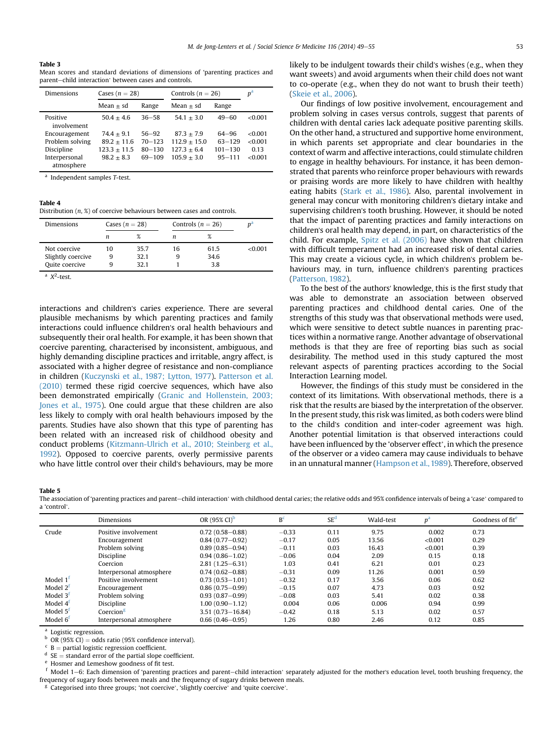#### <span id="page-4-0"></span>Table 3

Mean scores and standard deviations of dimensions of 'parenting practices and parentechild interaction' between cases and controls.

| Dimensions                  | Cases $(n = 28)$ |            | Controls ( $n = 26$ ) | $p^{\rm a}$ |        |
|-----------------------------|------------------|------------|-----------------------|-------------|--------|
|                             | $Mean + sd$      | Range      | $Mean + sd$           | Range       |        |
| Positive<br>involvement     | $50.4 + 4.6$     | $36 - 58$  | $54.1 + 3.0$          | $49 - 60$   | <0.001 |
| Encouragement               | $74.4 + 9.1$     | $56 - 92$  | $87.3 + 7.9$          | $64 - 96$   | <0.001 |
| Problem solving             | $89.2 + 11.6$    | $70 - 123$ | $112.9 + 15.0$        | $63 - 129$  | <0.001 |
| Discipline                  | $123.3 + 11.5$   | $80 - 130$ | $127.3 + 6.4$         | $101 - 130$ | 0.13   |
| Interpersonal<br>atmosphere | $98.2 + 8.3$     | $69 - 109$ | $105.9 + 3.0$         | $95 - 111$  | <0.001 |

Independent samples T-test.

#### Table 4

Distribution  $(n, \mathcal{X})$  of coercive behaviours between cases and controls.

| <b>Dimensions</b> |    | Cases $(n = 28)$ |    | Controls ( $n = 26$ ) |        |  |
|-------------------|----|------------------|----|-----------------------|--------|--|
|                   | n  | %                | n  |                       |        |  |
| Not coercive      | 10 | 35.7             | 16 | 61.5                  | <0.001 |  |
| Slightly coercive |    | 32.1             |    | 34.6                  |        |  |
| Quite coercive    |    | 32.1             |    | 38                    |        |  |

 $A^2$ -test.

interactions and children's caries experience. There are several plausible mechanisms by which parenting practices and family interactions could influence children's oral health behaviours and subsequently their oral health. For example, it has been shown that coercive parenting, characterised by inconsistent, ambiguous, and highly demanding discipline practices and irritable, angry affect, is associated with a higher degree of resistance and non-compliance in children ([Kuczynski et al., 1987; Lytton, 1977](#page-6-0)). [Patterson et al.](#page-6-0) [\(2010\)](#page-6-0) termed these rigid coercive sequences, which have also been demonstrated empirically [\(Granic and Hollenstein, 2003;](#page-5-0) [Jones et al., 1975\)](#page-5-0). One could argue that these children are also less likely to comply with oral health behaviours imposed by the parents. Studies have also shown that this type of parenting has been related with an increased risk of childhood obesity and conduct problems [\(Kitzmann-Ulrich et al., 2010; Steinberg et al.,](#page-6-0) [1992\)](#page-6-0). Opposed to coercive parents, overly permissive parents who have little control over their child's behaviours, may be more likely to be indulgent towards their child's wishes (e.g., when they want sweets) and avoid arguments when their child does not want to co-operate (e.g., when they do not want to brush their teeth) ([Skeie et al., 2006\)](#page-6-0).

Our findings of low positive involvement, encouragement and problem solving in cases versus controls, suggest that parents of children with dental caries lack adequate positive parenting skills. On the other hand, a structured and supportive home environment, in which parents set appropriate and clear boundaries in the context of warm and affective interactions, could stimulate children to engage in healthy behaviours. For instance, it has been demonstrated that parents who reinforce proper behaviours with rewards or praising words are more likely to have children with healthy eating habits [\(Stark et al., 1986\)](#page-6-0). Also, parental involvement in general may concur with monitoring children's dietary intake and supervising children's tooth brushing. However, it should be noted that the impact of parenting practices and family interactions on children's oral health may depend, in part, on characteristics of the child. For example, [Spitz et al. \(2006\)](#page-6-0) have shown that children with difficult temperament had an increased risk of dental caries. This may create a vicious cycle, in which children's problem behaviours may, in turn, influence children's parenting practices ([Patterson, 1982](#page-6-0)).

To the best of the authors' knowledge, this is the first study that was able to demonstrate an association between observed parenting practices and childhood dental caries. One of the strengths of this study was that observational methods were used, which were sensitive to detect subtle nuances in parenting practices within a normative range. Another advantage of observational methods is that they are free of reporting bias such as social desirability. The method used in this study captured the most relevant aspects of parenting practices according to the Social Interaction Learning model.

However, the findings of this study must be considered in the context of its limitations. With observational methods, there is a risk that the results are biased by the interpretation of the observer. In the present study, this risk was limited, as both coders were blind to the child's condition and inter-coder agreement was high. Another potential limitation is that observed interactions could have been influenced by the 'observer effect', in which the presence of the observer or a video camera may cause individuals to behave in an unnatural manner ([Hampson et al., 1989\)](#page-5-0). Therefore, observed

#### Table 5

**Table 5**<br>The association of 'parenting practices and parent–child interaction' with childhood dental caries; the relative odds and 95% confidence intervals of being a 'case' compared to rable 5<br>The associa<br>a 'control'.

|                      | Dimensions               | OR (95% CI) <sup>b</sup> | B <sup>c</sup> | $SE^d$ | Wald-test | $p^{\rm a}$ | Goodness of fit <sup>e</sup> |
|----------------------|--------------------------|--------------------------|----------------|--------|-----------|-------------|------------------------------|
| Crude                | Positive involvement     | $0.72(0.58 - 0.88)$      | $-0.33$        | 0.11   | 9.75      | 0.002       | 0.73                         |
|                      | Encouragement            | $0.84(0.77-0.92)$        | $-0.17$        | 0.05   | 13.56     | < 0.001     | 0.29                         |
|                      | Problem solving          | $0.89(0.85 - 0.94)$      | $-0.11$        | 0.03   | 16.43     | < 0.001     | 0.39                         |
|                      | Discipline               | $0.94(0.86 - 1.02)$      | $-0.06$        | 0.04   | 2.09      | 0.15        | 0.18                         |
|                      | Coercion                 | $2.81(1.25 - 6.31)$      | 1.03           | 0.41   | 6.21      | 0.01        | 0.23                         |
|                      | Interpersonal atmosphere | $0.74(0.62 - 0.88)$      | $-0.31$        | 0.09   | 11.26     | 0.001       | 0.59                         |
| Model $1t$           | Positive involvement     | $0.73(0.53 - 1.01)$      | $-0.32$        | 0.17   | 3.56      | 0.06        | 0.62                         |
| Model $2^r$          | Encouragement            | $0.86(0.75 - 0.99)$      | $-0.15$        | 0.07   | 4.73      | 0.03        | 0.92                         |
| Model $3r$           | Problem solving          | $0.93(0.87 - 0.99)$      | $-0.08$        | 0.03   | 5.41      | 0.02        | 0.38                         |
| Model $4t$           | Discipline               | $1.00(0.90 - 1.12)$      | 0.004          | 0.06   | 0.006     | 0.94        | 0.99                         |
| Model 5 <sup>f</sup> | Coercion <sup>g</sup>    | $3.51(0.73 - 16.84)$     | $-0.42$        | 0.18   | 5.13      | 0.02        | 0.57                         |
| Model 6 <sup>f</sup> | Interpersonal atmosphere | $0.66(0.46 - 0.95)$      | 1.26           | 0.80   | 2.46      | 0.12        | 0.85                         |
|                      |                          |                          |                |        |           |             |                              |

<sup>a</sup> Logistic regression.

<sup>b</sup> OR (95% CI) = odds ratio (95% confidence interval).<br>
<sup>c</sup> B = partial logistic regression coefficient.<br>
<sup>d</sup> SE = standard error of the partial slope coefficient.<br>
<sup>e</sup> Hosmer and Lemeshow goodness of fit test.

Model 1-6: Each dimension of 'parenting practices and parent-child interaction' separately adjusted for the mother's education level, tooth brushing frequency, the frequency of sugary foods between meals and the frequency of sugary drinks between meals.

Categorised into three groups; 'not coercive', 'slightly coercive' and 'quite coercive'.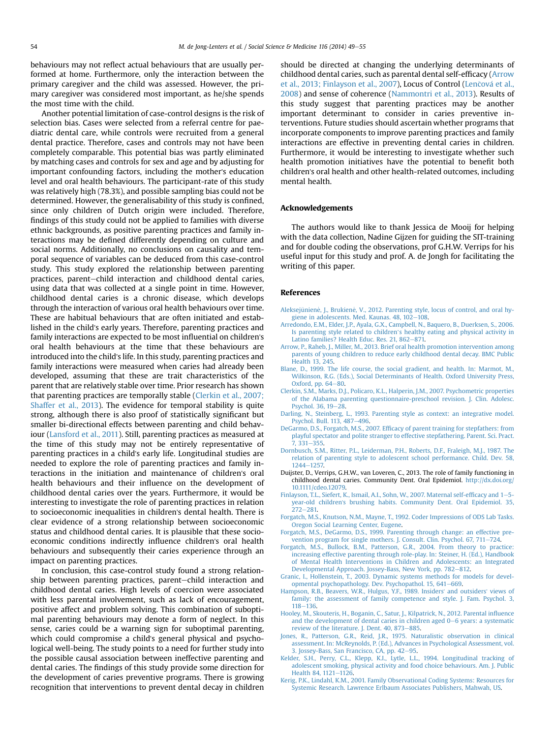<span id="page-5-0"></span>behaviours may not reflect actual behaviours that are usually performed at home. Furthermore, only the interaction between the primary caregiver and the child was assessed. However, the primary caregiver was considered most important, as he/she spends the most time with the child.

Another potential limitation of case-control designs is the risk of selection bias. Cases were selected from a referral centre for paediatric dental care, while controls were recruited from a general dental practice. Therefore, cases and controls may not have been completely comparable. This potential bias was partly eliminated by matching cases and controls for sex and age and by adjusting for important confounding factors, including the mother's education level and oral health behaviours. The participant-rate of this study was relatively high (78.3%), and possible sampling bias could not be determined. However, the generalisability of this study is confined, since only children of Dutch origin were included. Therefore, findings of this study could not be applied to families with diverse ethnic backgrounds, as positive parenting practices and family interactions may be defined differently depending on culture and social norms. Additionally, no conclusions on causality and temporal sequence of variables can be deduced from this case-control study. This study explored the relationship between parenting practices, parent-child interaction and childhood dental caries, using data that was collected at a single point in time. However, childhood dental caries is a chronic disease, which develops through the interaction of various oral health behaviours over time. These are habitual behaviours that are often initiated and established in the child's early years. Therefore, parenting practices and family interactions are expected to be most influential on children's oral health behaviours at the time that these behaviours are introduced into the child's life. In this study, parenting practices and family interactions were measured when caries had already been developed, assuming that these are trait characteristics of the parent that are relatively stable over time. Prior research has shown that parenting practices are temporally stable (Clerkin et al., 2007; Shaffer et al., 2013). The evidence for temporal stability is quite strong, although there is also proof of statistically significant but smaller bi-directional effects between parenting and child behaviour [\(Lansford et al., 2011\)](#page-6-0). Still, parenting practices as measured at the time of this study may not be entirely representative of parenting practices in a child's early life. Longitudinal studies are needed to explore the role of parenting practices and family interactions in the initiation and maintenance of children's oral health behaviours and their influence on the development of childhood dental caries over the years. Furthermore, it would be interesting to investigate the role of parenting practices in relation to socioeconomic inequalities in children's dental health. There is clear evidence of a strong relationship between socioeconomic status and childhood dental caries. It is plausible that these socioeconomic conditions indirectly influence children's oral health behaviours and subsequently their caries experience through an impact on parenting practices.

In conclusion, this case-control study found a strong relationship between parenting practices, parent-child interaction and childhood dental caries. High levels of coercion were associated with less parental involvement, such as lack of encouragement, positive affect and problem solving. This combination of suboptimal parenting behaviours may denote a form of neglect. In this sense, caries could be a warning sign for suboptimal parenting, which could compromise a child's general physical and psychological well-being. The study points to a need for further study into the possible causal association between ineffective parenting and dental caries. The findings of this study provide some direction for the development of caries preventive programs. There is growing recognition that interventions to prevent dental decay in children should be directed at changing the underlying determinants of childhood dental caries, such as parental dental self-efficacy (Arrow et al., 2013; Finlayson et al., 2007), Locus of Control [\(Len](#page-6-0)čová [et al.,](#page-6-0) [2008](#page-6-0)) and sense of coherence [\(Nammontri et al., 2013\)](#page-6-0). Results of this study suggest that parenting practices may be another important determinant to consider in caries preventive interventions. Future studies should ascertain whether programs that incorporate components to improve parenting practices and family interactions are effective in preventing dental caries in children. Furthermore, it would be interesting to investigate whether such health promotion initiatives have the potential to benefit both children's oral health and other health-related outcomes, including mental health.

#### Acknowledgements

The authors would like to thank Jessica de Mooij for helping with the data collection, Nadine Gijzen for guiding the SIT-training and for double coding the observations, prof G.H.W. Verrips for his useful input for this study and prof. A. de Jongh for facilitating the writing of this paper.

#### References

- Aleksejūnienė, J., Brukienė[, V., 2012. Parenting style, locus of control, and oral hy](http://refhub.elsevier.com/S0277-9536(14)00399-2/sref1) giene in adolescents. Med. Kaunas.  $48$ ,  $102-108$ .
- grene in atonescents, wed. Katuras, 46, 102–106.<br>[Arredondo, E.M., Elder, J.P., Ayala, G.X., Campbell, N., Baquero, B., Duerksen, S., 2006.](http://refhub.elsevier.com/S0277-9536(14)00399-2/sref2)<br>Is parenting style related to children'[s healthy eating and physical activity in](http://refhub.elsevier.com/S0277-9536(14)00399-2/sref2) [Latino families? Health Educ. Res. 21, 862](http://refhub.elsevier.com/S0277-9536(14)00399-2/sref2)-[871.](http://refhub.elsevier.com/S0277-9536(14)00399-2/sref2)
- [Arrow, P., Raheb, J., Miller, M., 2013. Brief oral health promotion intervention among](http://refhub.elsevier.com/S0277-9536(14)00399-2/sref3) [parents of young children to reduce early childhood dental decay. BMC Public](http://refhub.elsevier.com/S0277-9536(14)00399-2/sref3) .<br>[Health 13, 245](http://refhub.elsevier.com/S0277-9536(14)00399-2/sref3).
- [Blane, D., 1999. The life course, the social gradient, and health. In: Marmot, M.,](http://refhub.elsevier.com/S0277-9536(14)00399-2/sref4) [Wilkinson, R.G. \(Eds.\), Social Determinants of Health. Oxford University Press,](http://refhub.elsevier.com/S0277-9536(14)00399-2/sref4) Oxford, pp.  $64-80$  $64-80$ .
- [Clerkin, S.M., Marks, D.J., Policaro, K.L., Halperin, J.M., 2007. Psychometric properties](http://refhub.elsevier.com/S0277-9536(14)00399-2/sref5) [of the Alabama parenting questionnaire-preschool revision. J. Clin. Adolesc.](http://refhub.elsevier.com/S0277-9536(14)00399-2/sref5) [Psychol. 36, 19](http://refhub.elsevier.com/S0277-9536(14)00399-2/sref5)-[28.](http://refhub.elsevier.com/S0277-9536(14)00399-2/sref5)
- [Darling, N., Steinberg, L., 1993. Parenting style as context: an integrative model.](http://refhub.elsevier.com/S0277-9536(14)00399-2/sref6) [Psychol. Bull. 113, 487](http://refhub.elsevier.com/S0277-9536(14)00399-2/sref6)-[496.](http://refhub.elsevier.com/S0277-9536(14)00399-2/sref6)
- DeGarmo, D.S., Forgatch, M.S., 2007. Effi[cacy of parent training for stepfathers: from](http://refhub.elsevier.com/S0277-9536(14)00399-2/sref7) [playful spectator and polite stranger to effective stepfathering. Parent. Sci. Pract.](http://refhub.elsevier.com/S0277-9536(14)00399-2/sref7)  $7.331 - 355.$  $7.331 - 355.$
- [Dornbusch, S.M., Ritter, P.L., Leiderman, P.H., Roberts, D.F., Fraleigh, M.J., 1987. The](http://refhub.elsevier.com/S0277-9536(14)00399-2/sref8) [relation of parenting style to adolescent school performance. Child. Dev. 58,](http://refhub.elsevier.com/S0277-9536(14)00399-2/sref8) [1244](http://refhub.elsevier.com/S0277-9536(14)00399-2/sref8)-1257
- Duijster, D., Verrips, G.H.W., van Loveren, C., 2013. The role of family functioning in childhood dental caries. Community Dent. Oral Epidemiol. [http://dx.doi.org/](http://dx.doi.org/10.1111/cdeo.12079) [10.1111/cdeo.12079](http://dx.doi.org/10.1111/cdeo.12079).
- [Finlayson, T.L., Siefert, K., Ismail, A.I., Sohn, W., 2007. Maternal self-ef](http://refhub.elsevier.com/S0277-9536(14)00399-2/sref10)ficacy and 1-[5](http://refhub.elsevier.com/S0277-9536(14)00399-2/sref10) year-old children'[s brushing habits. Community Dent. Oral Epidemiol. 35,](http://refhub.elsevier.com/S0277-9536(14)00399-2/sref10)  $272 - 281$  $272 - 281$ .
- [Forgatch, M.S., Knutson, N.M., Mayne, T., 1992. Coder Impressions of ODS Lab Tasks.](http://refhub.elsevier.com/S0277-9536(14)00399-2/sref11) [Oregon Social Learning Center, Eugene.](http://refhub.elsevier.com/S0277-9536(14)00399-2/sref11)
- [Forgatch, M.S., DeGarmo, D.S., 1999. Parenting through change: an effective pre](http://refhub.elsevier.com/S0277-9536(14)00399-2/sref12)[vention program for single mothers. J. Consult. Clin. Psychol. 67, 711](http://refhub.elsevier.com/S0277-9536(14)00399-2/sref12)–[724.](http://refhub.elsevier.com/S0277-9536(14)00399-2/sref12)
- [Forgatch, M.S., Bullock, B.M., Patterson, G.R., 2004. From theory to practice:](http://refhub.elsevier.com/S0277-9536(14)00399-2/sref13) [increasing effective parenting through role-play. In: Steiner, H. \(Ed.\), Handbook](http://refhub.elsevier.com/S0277-9536(14)00399-2/sref13) [of Mental Health Interventions in Children and Adolescents: an Integrated](http://refhub.elsevier.com/S0277-9536(14)00399-2/sref13) [Developmental Approach. Jossey-Bass, New York, pp. 782](http://refhub.elsevier.com/S0277-9536(14)00399-2/sref13)-[812](http://refhub.elsevier.com/S0277-9536(14)00399-2/sref13).
- [Granic, I., Hollenstein, T., 2003. Dynamic systems methods for models for devel](http://refhub.elsevier.com/S0277-9536(14)00399-2/sref14)[opmental psychopathology. Dev. Psychopathol. 15, 641](http://refhub.elsevier.com/S0277-9536(14)00399-2/sref14)-[669.](http://refhub.elsevier.com/S0277-9536(14)00399-2/sref14)
- [Hampson, R.B., Beavers, W.R., Hulgus, Y.F., 1989. Insiders](http://refhub.elsevier.com/S0277-9536(14)00399-2/sref15)' and outsiders' views of [family: the assessment of family competence and style. J. Fam. Psychol. 3,](http://refhub.elsevier.com/S0277-9536(14)00399-2/sref15)  $118 - 136$  $118 - 136$
- [Hooley, M., Skouteris, H., Boganin, C., Satur, J., Kilpatrick, N., 2012. Parental in](http://refhub.elsevier.com/S0277-9536(14)00399-2/sref16)fluence and the development of dental caries in children aged  $0-6$  years: a systematic [review of the literature. J. Dent. 40, 873](http://refhub.elsevier.com/S0277-9536(14)00399-2/sref16)-[885.](http://refhub.elsevier.com/S0277-9536(14)00399-2/sref16)
- [Jones, R., Patterson, G.R., Reid, J.R., 1975. Naturalistic observation in clinical](http://refhub.elsevier.com/S0277-9536(14)00399-2/sref17) [assessment. In: McReynolds, P. \(Ed.\), Advances in Psychological Assessment, vol.](http://refhub.elsevier.com/S0277-9536(14)00399-2/sref17) [3. Jossey-Bass, San Francisco, CA, pp. 42](http://refhub.elsevier.com/S0277-9536(14)00399-2/sref17)-[95.](http://refhub.elsevier.com/S0277-9536(14)00399-2/sref17)
- [Kelder, S.H., Perry, C.L., Klepp, K.I., Lytle, L.L., 1994. Longitudinal tracking of](http://refhub.elsevier.com/S0277-9536(14)00399-2/sref18) [adolescent smoking, physical activity and food choice behaviours. Am. J. Public](http://refhub.elsevier.com/S0277-9536(14)00399-2/sref18) [Health 84, 1121](http://refhub.elsevier.com/S0277-9536(14)00399-2/sref18)-[1126](http://refhub.elsevier.com/S0277-9536(14)00399-2/sref18).
- [Kerig, P.K., Lindahl, K.M., 2001. Family Observational Coding Systems: Resources for](http://refhub.elsevier.com/S0277-9536(14)00399-2/sref19) [Systemic Research. Lawrence Erlbaum Associates Publishers, Mahwah, US.](http://refhub.elsevier.com/S0277-9536(14)00399-2/sref19)